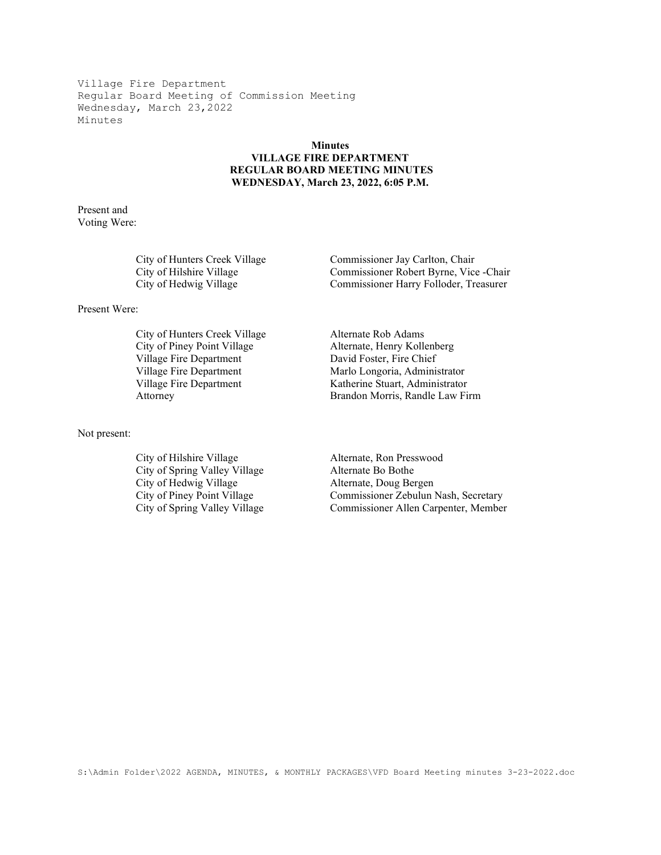## Minutes VILLAGE FIRE DEPARTMENT REGULAR BOARD MEETING MINUTES WEDNESDAY, March 23, 2022, 6:05 P.M.

Present and Voting Were:

| City of Hunters Creek Village | Commissioner Jay Carlton, Chair         |
|-------------------------------|-----------------------------------------|
| City of Hilshire Village      | Commissioner Robert Byrne, Vice - Chair |
| City of Hedwig Village        | Commissioner Harry Folloder, Treasurer  |

Present Were:

City of Hunters Creek Village Alternate Rob Adams<br>City of Piney Point Village Alternate, Henry Kolle Village Fire Department David Foster, Fire Chief

Not present:

City of Hilshire Village Alternate, Ron Presswood City of Spring Valley Village Alternate Bo Bothe<br>City of Hedwig Village Alternate, Doug Ber City of Hedwig Village Alternate, Doug Bergen<br>
City of Piney Point Village Commissioner Zebulun 1

Alternate, Henry Kollenberg Village Fire Department Marlo Longoria, Administrator Village Fire Department Katherine Stuart, Administrator Attorney Brandon Morris, Randle Law Firm

Commissioner Zebulun Nash, Secretary City of Spring Valley Village Commissioner Allen Carpenter, Member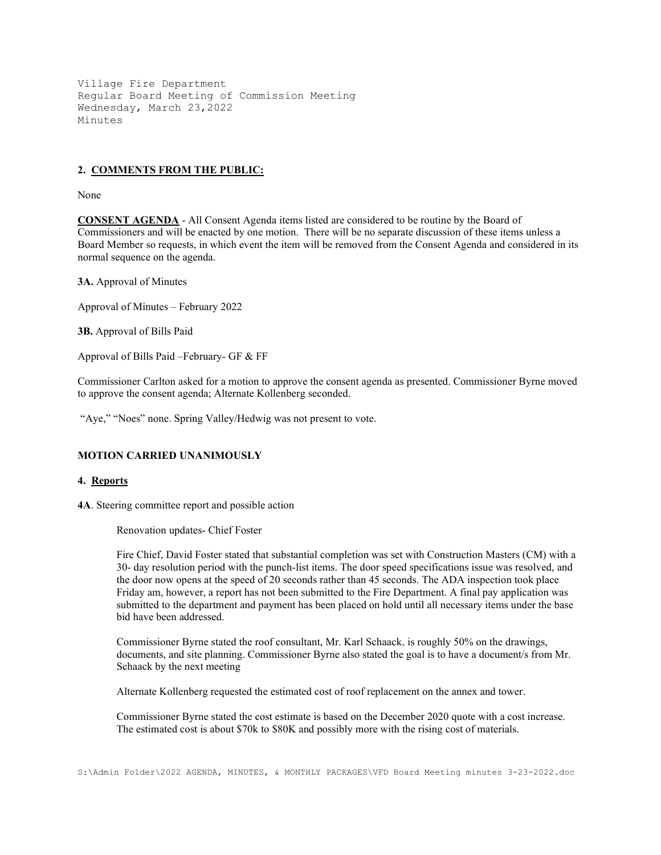### 2. COMMENTS FROM THE PUBLIC:

None

CONSENT AGENDA - All Consent Agenda items listed are considered to be routine by the Board of Commissioners and will be enacted by one motion. There will be no separate discussion of these items unless a Board Member so requests, in which event the item will be removed from the Consent Agenda and considered in its normal sequence on the agenda.

3A. Approval of Minutes

Approval of Minutes – February 2022

3B. Approval of Bills Paid

Approval of Bills Paid –February- GF & FF

Commissioner Carlton asked for a motion to approve the consent agenda as presented. Commissioner Byrne moved to approve the consent agenda; Alternate Kollenberg seconded.

"Aye," "Noes" none. Spring Valley/Hedwig was not present to vote.

### MOTION CARRIED UNANIMOUSLY

### 4. Reports

4A. Steering committee report and possible action

Renovation updates- Chief Foster

Fire Chief, David Foster stated that substantial completion was set with Construction Masters (CM) with a 30- day resolution period with the punch-list items. The door speed specifications issue was resolved, and the door now opens at the speed of 20 seconds rather than 45 seconds. The ADA inspection took place Friday am, however, a report has not been submitted to the Fire Department. A final pay application was submitted to the department and payment has been placed on hold until all necessary items under the base bid have been addressed.

Commissioner Byrne stated the roof consultant, Mr. Karl Schaack, is roughly 50% on the drawings, documents, and site planning. Commissioner Byrne also stated the goal is to have a document's from Mr. Schaack by the next meeting

Alternate Kollenberg requested the estimated cost of roof replacement on the annex and tower.

Commissioner Byrne stated the cost estimate is based on the December 2020 quote with a cost increase. The estimated cost is about \$70k to \$80K and possibly more with the rising cost of materials.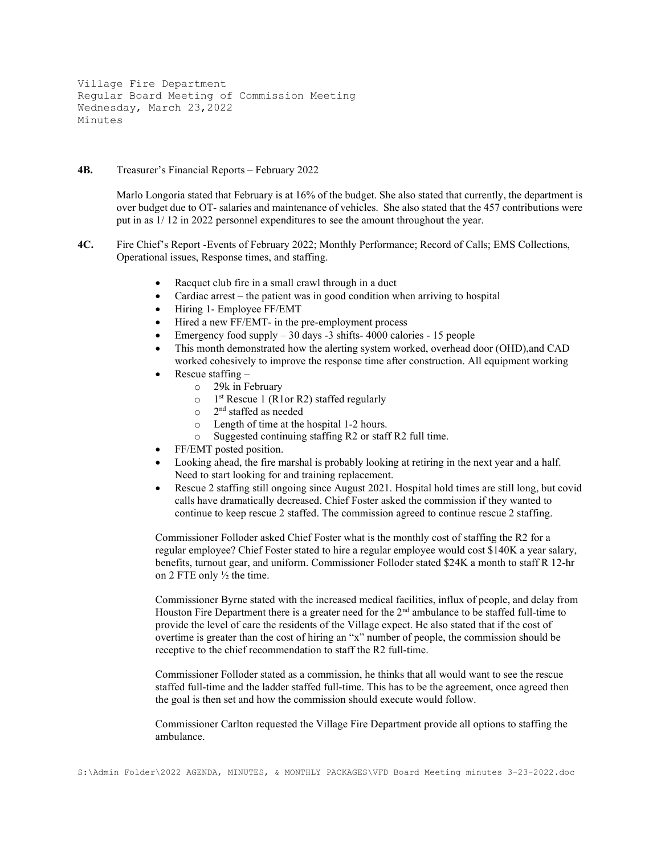#### 4B. Treasurer's Financial Reports – February 2022

 Marlo Longoria stated that February is at 16% of the budget. She also stated that currently, the department is over budget due to OT- salaries and maintenance of vehicles. She also stated that the 457 contributions were put in as 1/ 12 in 2022 personnel expenditures to see the amount throughout the year.

- 4C. Fire Chief's Report -Events of February 2022; Monthly Performance; Record of Calls; EMS Collections, Operational issues, Response times, and staffing.
	- Racquet club fire in a small crawl through in a duct
	- Cardiac arrest the patient was in good condition when arriving to hospital
	- Hiring 1- Employee FF/EMT
	- Hired a new FF/EMT- in the pre-employment process
	- Emergency food supply 30 days -3 shifts- 4000 calories 15 people
	- This month demonstrated how the alerting system worked, overhead door (OHD),and CAD worked cohesively to improve the response time after construction. All equipment working
	- Rescue staffing
		- o 29k in February
		- o 1 st Rescue 1 (R1or R2) staffed regularly
		- o 2 nd staffed as needed
		- o Length of time at the hospital 1-2 hours.
		- o Suggested continuing staffing R2 or staff R2 full time.
	- FF/EMT posted position.
	- Looking ahead, the fire marshal is probably looking at retiring in the next year and a half. Need to start looking for and training replacement.
	- Rescue 2 staffing still ongoing since August 2021. Hospital hold times are still long, but covid calls have dramatically decreased. Chief Foster asked the commission if they wanted to continue to keep rescue 2 staffed. The commission agreed to continue rescue 2 staffing.

Commissioner Folloder asked Chief Foster what is the monthly cost of staffing the R2 for a regular employee? Chief Foster stated to hire a regular employee would cost \$140K a year salary, benefits, turnout gear, and uniform. Commissioner Folloder stated \$24K a month to staff R 12-hr on 2 FTE only ½ the time.

Commissioner Byrne stated with the increased medical facilities, influx of people, and delay from Houston Fire Department there is a greater need for the 2<sup>nd</sup> ambulance to be staffed full-time to provide the level of care the residents of the Village expect. He also stated that if the cost of overtime is greater than the cost of hiring an "x" number of people, the commission should be receptive to the chief recommendation to staff the R2 full-time.

Commissioner Folloder stated as a commission, he thinks that all would want to see the rescue staffed full-time and the ladder staffed full-time. This has to be the agreement, once agreed then the goal is then set and how the commission should execute would follow.

Commissioner Carlton requested the Village Fire Department provide all options to staffing the ambulance.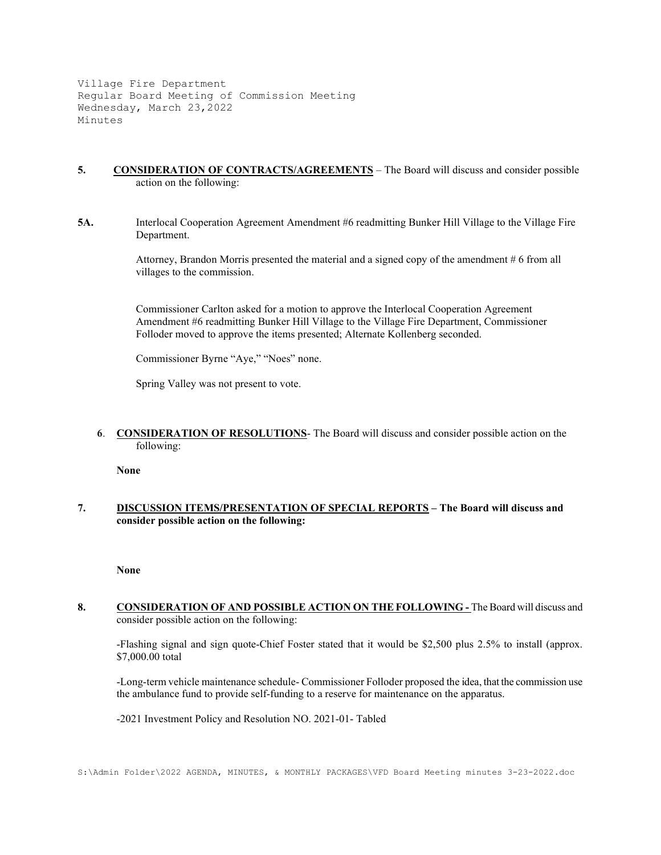- 5. CONSIDERATION OF CONTRACTS/AGREEMENTS The Board will discuss and consider possible action on the following:
- 5A. Interlocal Cooperation Agreement Amendment #6 readmitting Bunker Hill Village to the Village Fire Department.

Attorney, Brandon Morris presented the material and a signed copy of the amendment # 6 from all villages to the commission.

Commissioner Carlton asked for a motion to approve the Interlocal Cooperation Agreement Amendment #6 readmitting Bunker Hill Village to the Village Fire Department, Commissioner Folloder moved to approve the items presented; Alternate Kollenberg seconded.

Commissioner Byrne "Aye," "Noes" none.

Spring Valley was not present to vote.

6. CONSIDERATION OF RESOLUTIONS- The Board will discuss and consider possible action on the following:

None

7. DISCUSSION ITEMS/PRESENTATION OF SPECIAL REPORTS - The Board will discuss and consider possible action on the following:

None

8. CONSIDERATION OF AND POSSIBLE ACTION ON THE FOLLOWING - The Board will discuss and consider possible action on the following:

 -Flashing signal and sign quote-Chief Foster stated that it would be \$2,500 plus 2.5% to install (approx. \$7,000.00 total

-Long-term vehicle maintenance schedule- Commissioner Folloder proposed the idea, that the commission use the ambulance fund to provide self-funding to a reserve for maintenance on the apparatus.

-2021 Investment Policy and Resolution NO. 2021-01- Tabled